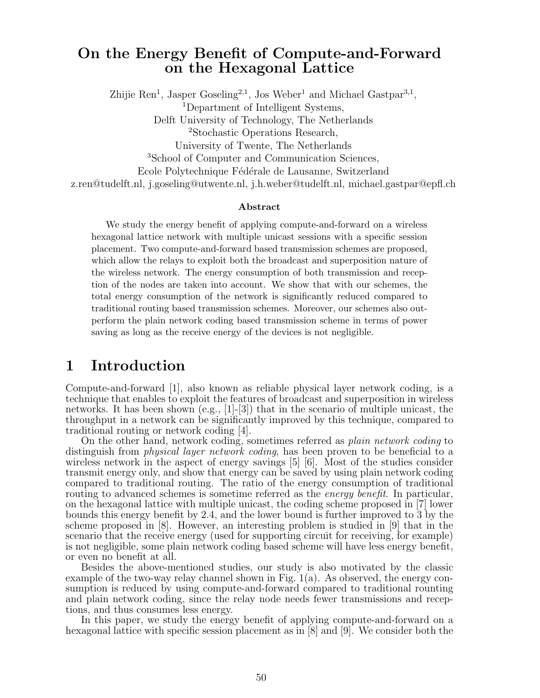### On the Energy Benefit of Compute-and-Forward on the Hexagonal Lattice

Zhijie Ren<sup>1</sup>, Jasper Goseling<sup>2,1</sup>, Jos Weber<sup>1</sup> and Michael Gastpar<sup>3,1</sup>, <sup>1</sup>Department of Intelligent Systems, Delft University of Technology, The Netherlands <sup>2</sup>Stochastic Operations Research, University of Twente, The Netherlands <sup>3</sup>School of Computer and Communication Sciences, Ecole Polytechnique Fédérale de Lausanne, Switzerland z.ren@tudelft.nl, j.goseling@utwente.nl, j.h.weber@tudelft.nl, michael.gastpar@epfl.ch

#### Abstract

We study the energy benefit of applying compute-and-forward on a wireless hexagonal lattice network with multiple unicast sessions with a specific session placement. Two compute-and-forward based transmission schemes are proposed, which allow the relays to exploit both the broadcast and superposition nature of the wireless network. The energy consumption of both transmission and reception of the nodes are taken into account. We show that with our schemes, the total energy consumption of the network is significantly reduced compared to traditional routing based transmission schemes. Moreover, our schemes also outperform the plain network coding based transmission scheme in terms of power saving as long as the receive energy of the devices is not negligible.

### 1 Introduction

Compute-and-forward [1], also known as reliable physical layer network coding, is a technique that enables to exploit the features of broadcast and superposition in wireless networks. It has been shown (e.g.,  $[1]-[3]$ ) that in the scenario of multiple unicast, the throughput in a network can be significantly improved by this technique, compared to traditional routing or network coding [4].

On the other hand, network coding, sometimes referred as *plain network coding* to distinguish from *physical layer network coding*, has been proven to be beneficial to a wireless network in the aspect of energy savings [5] [6]. Most of the studies consider transmit energy only, and show that energy can be saved by using plain network coding compared to traditional routing. The ratio of the energy consumption of traditional routing to advanced schemes is sometime referred as the *energy benefit*. In particular, on the hexagonal lattice with multiple unicast, the coding scheme proposed in [7] lower bounds this energy benefit by 2.4, and the lower bound is further improved to 3 by the scheme proposed in [8]. However, an interesting problem is studied in [9] that in the scenario that the receive energy (used for supporting circuit for receiving, for example) is not negligible, some plain network coding based scheme will have less energy benefit, or even no benefit at all.

Besides the above-mentioned studies, our study is also motivated by the classic example of the two-way relay channel shown in Fig. 1(a). As observed, the energy consumption is reduced by using compute-and-forward compared to traditional rounting and plain network coding, since the relay node needs fewer transmissions and receptions, and thus consumes less energy.

In this paper, we study the energy benefit of applying compute-and-forward on a hexagonal lattice with specific session placement as in [8] and [9]. We consider both the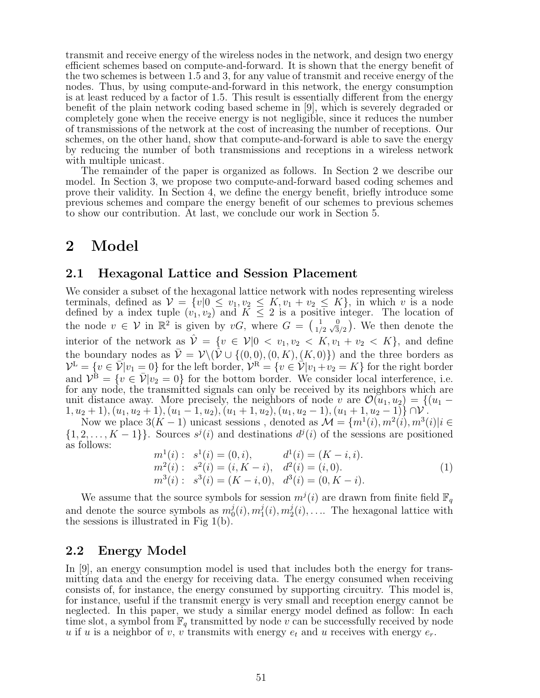transmit and receive energy of the wireless nodes in the network, and design two energy efficient schemes based on compute-and-forward. It is shown that the energy benefit of the two schemes is between 1.5 and 3, for any value of transmit and receive energy of the nodes. Thus, by using compute-and-forward in this network, the energy consumption is at least reduced by a factor of 1.5. This result is essentially different from the energy benefit of the plain network coding based scheme in [9], which is severely degraded or completely gone when the receive energy is not negligible, since it reduces the number of transmissions of the network at the cost of increasing the number of receptions. Our schemes, on the other hand, show that compute-and-forward is able to save the energy by reducing the number of both transmissions and receptions in a wireless network with multiple unicast.

The remainder of the paper is organized as follows. In Section 2 we describe our model. In Section 3, we propose two compute-and-forward based coding schemes and prove their validity. In Section 4, we define the energy benefit, briefly introduce some previous schemes and compare the energy benefit of our schemes to previous schemes to show our contribution. At last, we conclude our work in Section 5.

### 2 Model

#### 2.1 Hexagonal Lattice and Session Placement

We consider a subset of the hexagonal lattice network with nodes representing wireless terminals, defined as  $V = \{v | 0 \le v_1, v_2 \le K, v_1 + v_2 \le K\}$ , in which *v* is a node defined by a index tuple  $(v_1, v_2)$  and  $K \leq 2$  is a positive integer. The location of the node  $v \in V$  in  $\mathbb{R}^2$  is given by  $vG$ , where  $G = \begin{pmatrix} 1 & 0 \\ 1/2 & \sqrt{3}/2 \end{pmatrix}$ . We then denote the interior of the network as  $\hat{\mathcal{V}} = \{v \in \mathcal{V} | 0 \langle v_1, v_2 \rangle \langle K, v_1 + v_2 \rangle \langle K \rangle\}$ , and define the boundary nodes as  $\bar{\mathcal{V}} = \mathcal{V}\setminus (\hat{\mathcal{V}} \cup \{(0,0), (0,K), (K,0)\})$  and the three borders as  $\mathcal{V}^{\text{L}} = \{v \in \overline{\mathcal{V}} | v_1 = 0\}$  for the left border,  $\mathcal{V}^{\text{R}} = \{v \in \overline{\mathcal{V}} | v_1 + v_2 = K\}$  for the right border and  $\mathcal{V}^{\mathbf{B}} = \{v \in \bar{\mathcal{V}} | v_2 = 0\}$  for the bottom border. We consider local interference, i.e. for any node, the transmitted signals can only be received by its neighbors which are unit distance away. More precisely, the neighbors of node *v* are  $\mathcal{O}(u_1, u_2) = \{(u_1 - u_2) \mid u_2 \leq u_1, u_2 \leq u_2\}$  $(1, u_2 + 1), (u_1, u_2 + 1), (u_1 - 1, u_2), (u_1 + 1, u_2), (u_1, u_2 - 1), (u_1 + 1, u_2 - 1)$ 

Now we place  $3(K-1)$  unicast sessions, denoted as  $\mathcal{M} = \{m^1(i), m^2(i), m^3(i)|i \in \mathbb{N}\}$  $\{1, 2, \ldots, K-1\}$ . Sources  $s^j(i)$  and destinations  $d^j(i)$  of the sessions are positioned as follows:

$$
m1(i): s1(i) = (0, i), d1(i) = (K - i, i).
$$
  
\n
$$
m2(i): s2(i) = (i, K - i), d2(i) = (i, 0).
$$
  
\n
$$
m3(i): s3(i) = (K - i, 0), d3(i) = (0, K - i).
$$
\n(1)

We assume that the source symbols for session  $m^{j}(i)$  are drawn from finite field  $\mathbb{F}_{q}$ and denote the source symbols as  $m_0^j(i), m_1^j(i), m_2^j(i), \ldots$ . The hexagonal lattice with the sessions is illustrated in Fig  $1(b)$ .

### 2.2 Energy Model

In [9], an energy consumption model is used that includes both the energy for transmitting data and the energy for receiving data. The energy consumed when receiving consists of, for instance, the energy consumed by supporting circuitry. This model is, for instance, useful if the transmit energy is very small and reception energy cannot be neglected. In this paper, we study a similar energy model defined as follow: In each time slot, a symbol from  $\mathbb{F}_q$  transmitted by node *v* can be successfully received by node *u* if *u* is a neighbor of *v*, *v* transmits with energy  $e_t$  and *u* receives with energy  $e_r$ .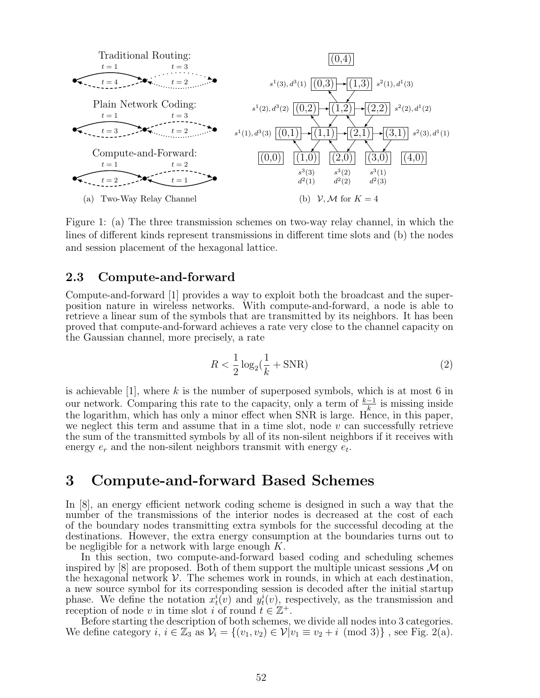

. and session placement of the hexagonal lattice. Figure 1: (a) The three transmission schemes on two-way relay channel, in which the lines of different kinds represent transmissions in different time slots and (b) the nodes

#### 2.3 Compute-and-forward

Compute-and-forward [1] provides a way to exploit both the broadcast and the superposition nature in wireless networks. With compute-and-forward, a node is able to retrieve a linear sum of the symbols that are transmitted by its neighbors. It has been proved that compute-and-forward achieves a rate very close to the channel capacity on the Gaussian channel, more precisely, a rate

$$
R < \frac{1}{2}\log_2(\frac{1}{k} + \text{SNR})\tag{2}
$$

is achievable [1], where *k* is the number of superposed symbols, which is at most 6 in our network. Comparing this rate to the capacity, only a term of  $\frac{k-1}{k}$  is missing inside the logarithm, which has only a minor effect when SNR is large. Hence, in this paper, we neglect this term and assume that in a time slot, node *v* can successfully retrieve the sum of the transmitted symbols by all of its non-silent neighbors if it receives with energy *e<sup>r</sup>* and the non-silent neighbors transmit with energy *et*.

### 3 Compute-and-forward Based Schemes

In [8], an energy efficient network coding scheme is designed in such a way that the number of the transmissions of the interior nodes is decreased at the cost of each of the boundary nodes transmitting extra symbols for the successful decoding at the destinations. However, the extra energy consumption at the boundaries turns out to be negligible for a network with large enough *K*.

In this section, two compute-and-forward based coding and scheduling schemes inspired by  $[8]$  are proposed. Both of them support the multiple unicast sessions  $M$  on the hexagonal network  $\mathcal V$ . The schemes work in rounds, in which at each destination, a new source symbol for its corresponding session is decoded after the initial startup phase. We define the notation  $x_t^i(v)$  and  $y_t^i(v)$ , respectively, as the transmission and reception of node *v* in time slot *i* of round  $t \in \mathbb{Z}^+$ .<br>Before starting the description of both schemes, we divide all nodes into 3 categories.

We define category  $i, i \in \mathbb{Z}_3$  as  $\mathcal{V}_i = \{(v_1, v_2) \in \mathcal{V} | v_1 \equiv v_2 + i \pmod{3} \}$ , see Fig. 2(a).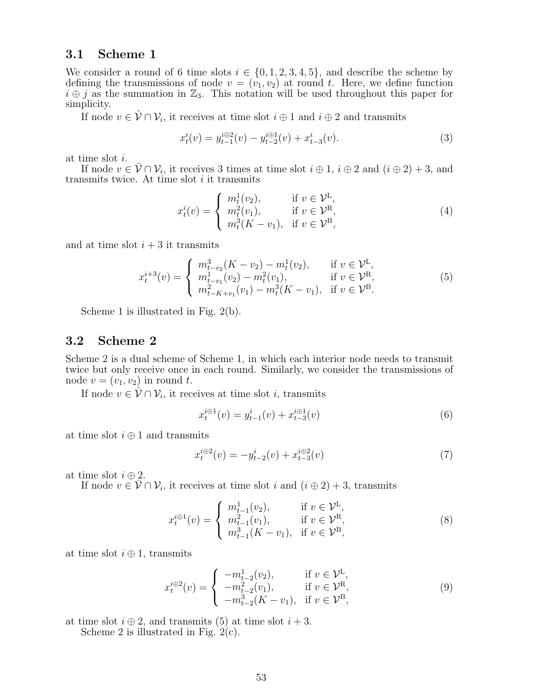#### 3.1 Scheme 1

We consider a round of 6 time slots  $i \in \{0, 1, 2, 3, 4, 5\}$ , and describe the scheme by defining the transmissions of node  $v = (v_1, v_2)$  at round t. Here, we define function  $i \oplus j$  as the summation in  $\mathbb{Z}_3$ . This notation will be used throughout this paper for simplicity.

If node  $v \in \mathcal{V} \cap \mathcal{V}_i$ , it receives at time slot  $i \oplus 1$  and  $i \oplus 2$  and transmits

$$
x_t^i(v) = y_{t-1}^{i \oplus 2}(v) - y_{t-2}^{i \oplus 1}(v) + x_{t-3}^i(v).
$$
 (3)

at time slot *i*.

If node  $v \in \overline{V} \cap V_i$ , it receives 3 times at time slot  $i \oplus 1$ ,  $i \oplus 2$  and  $(i \oplus 2) + 3$ , and transmits twice. At time slot *i* it transmits

$$
x_t^i(v) = \begin{cases} m_t^1(v_2), & \text{if } v \in \mathcal{V}^{\mathbf{L}}, \\ m_t^2(v_1), & \text{if } v \in \mathcal{V}^{\mathbf{R}}, \\ m_t^3(K - v_1), & \text{if } v \in \mathcal{V}^{\mathbf{B}}, \end{cases}
$$
(4)

and at time slot  $i + 3$  it transmits

$$
x_t^{i+3}(v) = \begin{cases} m_{t-v_2}^3(K - v_2) - m_t^1(v_2), & \text{if } v \in \mathcal{V}^{\mathcal{L}},\\ m_{t-v_1}^1(v_2) - m_t^2(v_1), & \text{if } v \in \mathcal{V}^{\mathcal{R}},\\ m_{t-K+v_1}^2(v_1) - m_t^3(K - v_1), & \text{if } v \in \mathcal{V}^{\mathcal{B}}.\end{cases}
$$
(5)

Scheme 1 is illustrated in Fig. 2(b).

#### 3.2 Scheme 2

Scheme 2 is a dual scheme of Scheme 1, in which each interior node needs to transmit twice but only receive once in each round. Similarly, we consider the transmissions of node  $v = (v_1, v_2)$  in round  $t$ .

If node  $v \in \mathcal{V} \cap \mathcal{V}_i$ , it receives at time slot *i*, transmits

$$
x_t^{i \oplus 1}(v) = y_{t-1}^i(v) + x_{t-3}^{i \oplus 1}(v)
$$
\n(6)

at time slot  $i \oplus 1$  and transmits

$$
x_t^{i \oplus 2}(v) = -y_{t-2}^i(v) + x_{t-3}^{i \oplus 2}(v)
$$
\n(7)

at time slot  $i \oplus 2$ .

If node  $v \in \overline{V} \cap V_i$ , it receives at time slot *i* and  $(i \oplus 2) + 3$ , transmits

$$
x_t^{i \oplus 1}(v) = \begin{cases} m_{t-1}^1(v_2), & \text{if } v \in \mathcal{V}^{\mathcal{L}}, \\ m_{t-1}^2(v_1), & \text{if } v \in \mathcal{V}^{\mathcal{R}}, \\ m_{t-1}^3(K - v_1), & \text{if } v \in \mathcal{V}^{\mathcal{B}}, \end{cases}
$$
(8)

at time slot  $i \oplus 1$ , transmits

$$
x_t^{i \oplus 2}(v) = \begin{cases} -m_{t-2}^1(v_2), & \text{if } v \in \mathcal{V}^{\mathcal{L}}, \\ -m_{t-2}^2(v_1), & \text{if } v \in \mathcal{V}^{\mathcal{R}}, \\ -m_{t-2}^3(K - v_1), & \text{if } v \in \mathcal{V}^{\mathcal{B}}, \end{cases}
$$
(9)

at time slot  $i \oplus 2$ , and transmits (5) at time slot  $i + 3$ .

Scheme 2 is illustrated in Fig. 2(c).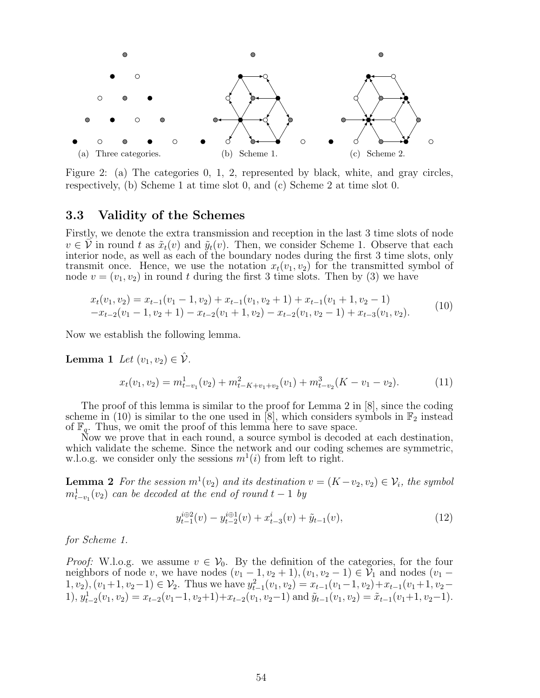

Figure 2: (a) The categories 0, 1, 2, represented by black, white, and gray circles, respectively, (b) Scheme 1 at time slot 0, and (c) Scheme 2 at time slot 0.

#### 3.3 Validity of the Schemes

Firstly, we denote the extra transmission and reception in the last 3 time slots of node  $v \in V$  in round *t* as  $\tilde{x}_t(v)$  and  $\tilde{y}_t(v)$ . Then, we consider Scheme 1. Observe that each interior node, as well as each of the boundary nodes during the first 3 time slots, only transmit once. Hence, we use the notation  $x_t(v_1, v_2)$  for the transmitted symbol of node  $v = (v_1, v_2)$  in round t during the first 3 time slots. Then by (3) we have

$$
x_t(v_1, v_2) = x_{t-1}(v_1 - 1, v_2) + x_{t-1}(v_1, v_2 + 1) + x_{t-1}(v_1 + 1, v_2 - 1)
$$
  
-
$$
x_{t-2}(v_1 - 1, v_2 + 1) - x_{t-2}(v_1 + 1, v_2) - x_{t-2}(v_1, v_2 - 1) + x_{t-3}(v_1, v_2).
$$
 (10)

Now we establish the following lemma.

Lemma 1 Let  $(v_1, v_2) \in \hat{\mathcal{V}}$ .

$$
x_t(v_1, v_2) = m_{t-v_1}^1(v_2) + m_{t-K+v_1+v_2}^2(v_1) + m_{t-v_2}^3(K - v_1 - v_2).
$$
 (11)

The proof of this lemma is similar to the proof for Lemma 2 in [8], since the coding scheme in (10) is similar to the one used in [8], which considers symbols in  $\mathbb{F}_2$  instead of  $\mathbb{F}_q$ . Thus, we omit the proof of this lemma here to save space.

Now we prove that in each round, a source symbol is decoded at each destination, which validate the scheme. Since the network and our coding schemes are symmetric, w.l.o.g. we consider only the sessions  $m^1(i)$  from left to right.

**Lemma 2** For the session  $m^1(v_2)$  and its destination  $v = (K - v_2, v_2) \in V_i$ , the symbol  $m_{t-v_1}^1(v_2)$  *can be decoded at the end of round*  $t-1$  *by* 

$$
y_{t-1}^{i \oplus 2}(v) - y_{t-2}^{i \oplus 1}(v) + x_{t-3}^{i}(v) + \tilde{y}_{t-1}(v), \tag{12}
$$

*for Scheme 1.*

*Proof:* W.l.o.g. we assume  $v \in V_0$ . By the definition of the categories, for the four neighbors of node *v*, we have nodes  $(v_1 - 1, v_2 + 1), (v_1, v_2 - 1) \in V_1$  and nodes  $(v_1 -$ 1*, v*<sub>2</sub>)*,*(*v*<sub>1</sub>+1*, v*<sub>2</sub>−1) ∈ *V*<sub>2</sub>. Thus we have  $y_{t-1}^2(v_1, v_2) = x_{t-1}(v_1-1, v_2) + x_{t-1}(v_1+1, v_2-1)$ 1),  $y_{t-2}^1(v_1, v_2) = x_{t-2}(v_1 - 1, v_2 + 1) + x_{t-2}(v_1, v_2 - 1)$  and  $\tilde{y}_{t-1}(v_1, v_2) = \tilde{x}_{t-1}(v_1 + 1, v_2 - 1)$ .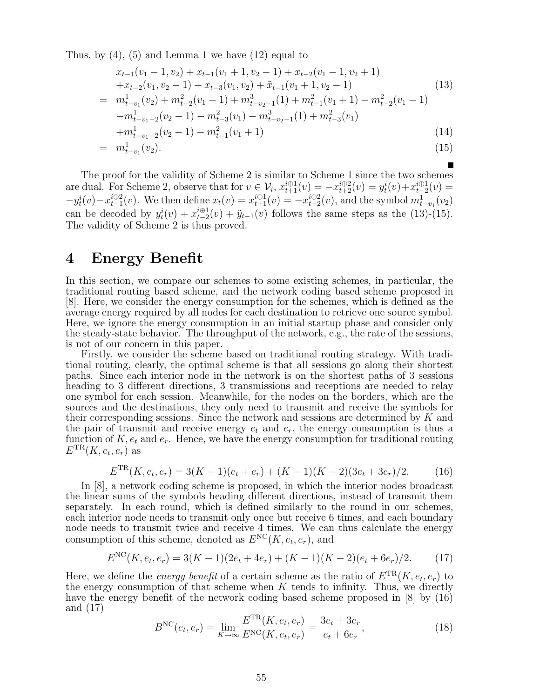Thus, by  $(4)$ ,  $(5)$  and Lemma 1 we have  $(12)$  equal to

$$
x_{t-1}(v_1 - 1, v_2) + x_{t-1}(v_1 + 1, v_2 - 1) + x_{t-2}(v_1 - 1, v_2 + 1)
$$
  
\n
$$
+x_{t-2}(v_1, v_2 - 1) + x_{t-3}(v_1, v_2) + \tilde{x}_{t-1}(v_1 + 1, v_2 - 1)
$$
  
\n
$$
= m_{t-v_1}^1(v_2) + m_{t-2}^2(v_1 - 1) + m_{t-v_2-1}^3(1) + m_{t-1}^2(v_1 + 1) - m_{t-2}^2(v_1 - 1)
$$
  
\n
$$
-m_{t-v_1-2}^1(v_2 - 1) - m_{t-3}^2(v_1) - m_{t-v_2-1}^3(1) + m_{t-3}^2(v_1)
$$
  
\n
$$
+m_{t-v_1-2}^1(v_2 - 1) - m_{t-1}^2(v_1 + 1)
$$
  
\n
$$
= m_{t-v_1}^1(v_2).
$$
\n(15)

The proof for the validity of Scheme 2 is similar to Scheme 1 since the two schemes are dual. For Scheme 2, observe that for  $v \in V_i$ ,  $x_{t+1}^{i \oplus 1}(v) = -x_{t+2}^{i \oplus 2}(v) = y_t^i(v) + x_{t-2}^{i \oplus 1}(v) =$  $-y_t^i(v) - x_{t-1}^{i \oplus 2}(v)$ . We then define  $x_t(v) = x_{t+1}^{i \oplus 1}(v) = -x_{t+2}^{i \oplus 2}(v)$ , and the symbol  $m_{t-v_1}^1(v_2)$ can be decoded by  $y_t^i(v) + x_{t-2}^{i \oplus 1}(v) + \tilde{y}_{t-1}(v)$  follows the same steps as the (13)-(15). The validity of Scheme 2 is thus proved.

## 4 Energy Benefit

In this section, we compare our schemes to some existing schemes, in particular, the traditional routing based scheme, and the network coding based scheme proposed in [8]. Here, we consider the energy consumption for the schemes, which is defined as the average energy required by all nodes for each destination to retrieve one source symbol. Here, we ignore the energy consumption in an initial startup phase and consider only the steady-state behavior. The throughput of the network, e.g., the rate of the sessions, is not of our concern in this paper.

Firstly, we consider the scheme based on traditional routing strategy. With traditional routing, clearly, the optimal scheme is that all sessions go along their shortest paths. Since each interior node in the network is on the shortest paths of 3 sessions heading to 3 different directions, 3 transmissions and receptions are needed to relay one symbol for each session. Meanwhile, for the nodes on the borders, which are the sources and the destinations, they only need to transmit and receive the symbols for their corresponding sessions. Since the network and sessions are determined by *K* and the pair of transmit and receive energy  $e_t$  and  $e_r$ , the energy consumption is thus a function of *K, e<sup>t</sup>* and *er*. Hence, we have the energy consumption for traditional routing  $E^{TR}(K, e_t, e_r)$  as

$$
E^{TR}(K, e_t, e_r) = 3(K-1)(e_t + e_r) + (K-1)(K-2)(3e_t + 3e_r)/2.
$$
 (16)

In [8], a network coding scheme is proposed, in which the interior nodes broadcast the linear sums of the symbols heading different directions, instead of transmit them separately. In each round, which is defined similarly to the round in our schemes, each interior node needs to transmit only once but receive 6 times, and each boundary node needs to transmit twice and receive 4 times. We can thus calculate the energy consumption of this scheme, denoted as  $E^{NC}(K, e_t, e_r)$ , and

$$
E^{NC}(K, e_t, e_r) = 3(K-1)(2e_t + 4e_r) + (K-1)(K-2)(e_t + 6e_r)/2.
$$
 (17)

Here, we define the *energy benefit* of a certain scheme as the ratio of  $E^{TR}(K, e_t, e_r)$  to the energy consumption of that scheme when *K* tends to infinity. Thus, we directly have the energy benefit of the network coding based scheme proposed in [8] by (16) and (17)

$$
BNC(e_t, e_r) = \lim_{K \to \infty} \frac{E^{TR}(K, e_t, e_r)}{E^{NC}(K, e_t, e_r)} = \frac{3e_t + 3e_r}{e_t + 6e_r},
$$
\n(18)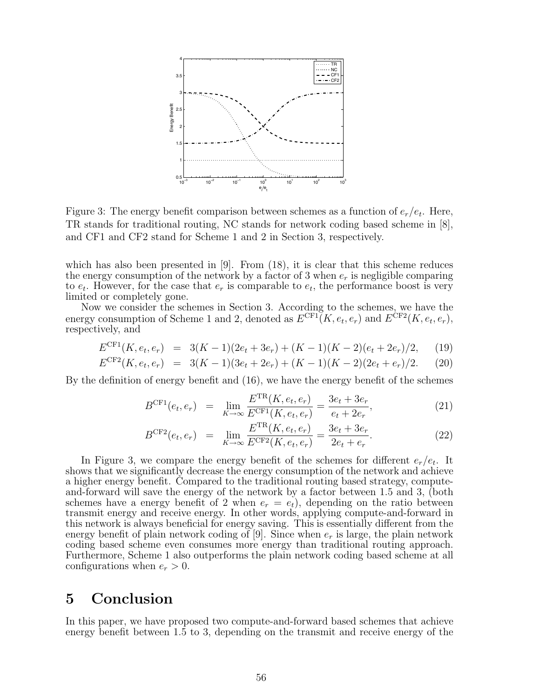

Figure 3: The energy benefit comparison between schemes as a function of *er/et*. Here, TR stands for traditional routing, NC stands for network coding based scheme in [8], and CF1 and CF2 stand for Scheme 1 and 2 in Section 3, respectively.

which has also been presented in [9]. From (18), it is clear that this scheme reduces the energy consumption of the network by a factor of 3 when *e<sup>r</sup>* is negligible comparing to  $e_t$ . However, for the case that  $e_r$  is comparable to  $e_t$ , the performance boost is very limited or completely gone.

Now we consider the schemes in Section 3. According to the schemes, we have the energy consumption of Scheme 1 and 2, denoted as  $E^{\text{CF1}}(K, e_t, e_r)$  and  $E^{\text{CF2}}(K, e_t, e_r)$ , respectively, and

$$
E^{\text{CF1}}(K, e_t, e_r) = 3(K-1)(2e_t + 3e_r) + (K-1)(K-2)(e_t + 2e_r)/2, \quad (19)
$$

$$
E^{\text{CF2}}(K, e_t, e_r) = 3(K-1)(3e_t + 2e_r) + (K-1)(K-2)(2e_t + e_r)/2.
$$
 (20)

By the definition of energy benefit and (16), we have the energy benefit of the schemes

$$
B^{\text{CF1}}(e_t, e_r) = \lim_{K \to \infty} \frac{E^{\text{TR}}(K, e_t, e_r)}{E^{\text{CF1}}(K, e_t, e_r)} = \frac{3e_t + 3e_r}{e_t + 2e_r},
$$
(21)

$$
B^{\text{CF2}}(e_t, e_r) = \lim_{K \to \infty} \frac{E^{\text{TR}}(K, e_t, e_r)}{E^{\text{CF2}}(K, e_t, e_r)} = \frac{3e_t + 3e_r}{2e_t + e_r}.
$$
 (22)

In Figure 3, we compare the energy benefit of the schemes for different  $e_r/e_t$ . It shows that we significantly decrease the energy consumption of the network and achieve a higher energy benefit. Compared to the traditional routing based strategy, computeand-forward will save the energy of the network by a factor between 1.5 and 3, (both schemes have a energy benefit of 2 when  $e_r = e_t$ , depending on the ratio between transmit energy and receive energy. In other words, applying compute-and-forward in this network is always beneficial for energy saving. This is essentially different from the energy benefit of plain network coding of  $[9]$ . Since when  $e_r$  is large, the plain network coding based scheme even consumes more energy than traditional routing approach. Furthermore, Scheme 1 also outperforms the plain network coding based scheme at all configurations when  $e_r > 0$ .

## 5 Conclusion

In this paper, we have proposed two compute-and-forward based schemes that achieve energy benefit between 1.5 to 3, depending on the transmit and receive energy of the